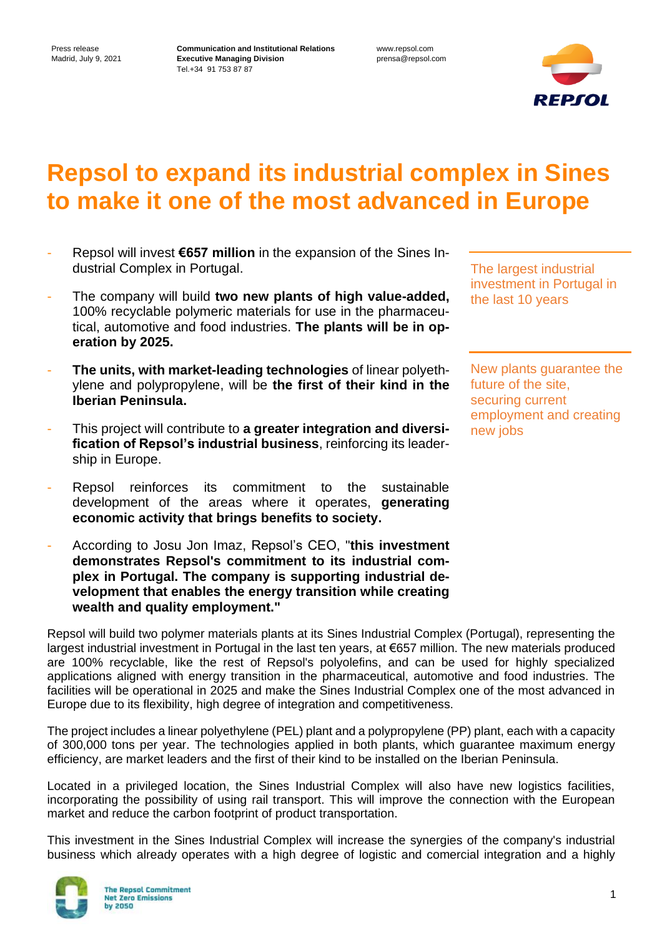**Communication and Institutional Relations Executive Managing Division** Tel.+34 91 753 87 87

www.repsol.com prensa@repsol.com



## **Repsol to expand its industrial complex in Sines to make it one of the most advanced in Europe**

- Repsol will invest **€657 million** in the expansion of the Sines Industrial Complex in Portugal.
- The company will build **two new plants of high value-added,** 100% recyclable polymeric materials for use in the pharmaceutical, automotive and food industries. **The plants will be in operation by 2025.**
- **The units, with market-leading technologies** of linear polyethylene and polypropylene, will be **the first of their kind in the Iberian Peninsula.**
- This project will contribute to **a greater integration and diversification of Repsol's industrial business**, reinforcing its leadership in Europe.
- Repsol reinforces its commitment to the sustainable development of the areas where it operates, **generating economic activity that brings benefits to society.**
- According to Josu Jon Imaz, Repsol's CEO, "**this investment demonstrates Repsol's commitment to its industrial complex in Portugal. The company is supporting industrial development that enables the energy transition while creating wealth and quality employment."**

The largest industrial investment in Portugal in the last 10 years

New plants guarantee the future of the site, securing current employment and creating new jobs

Repsol will build two polymer materials plants at its Sines Industrial Complex (Portugal), representing the largest industrial investment in Portugal in the last ten years, at €657 million. The new materials produced are 100% recyclable, like the rest of Repsol's polyolefins, and can be used for highly specialized applications aligned with energy transition in the pharmaceutical, automotive and food industries. The facilities will be operational in 2025 and make the Sines Industrial Complex one of the most advanced in Europe due to its flexibility, high degree of integration and competitiveness.

The project includes a linear polyethylene (PEL) plant and a polypropylene (PP) plant, each with a capacity of 300,000 tons per year. The technologies applied in both plants, which guarantee maximum energy efficiency, are market leaders and the first of their kind to be installed on the Iberian Peninsula.

Located in a privileged location, the Sines Industrial Complex will also have new logistics facilities, incorporating the possibility of using rail transport. This will improve the connection with the European market and reduce the carbon footprint of product transportation.

This investment in the Sines Industrial Complex will increase the synergies of the company's industrial business which already operates with a high degree of logistic and comercial integration and a highly